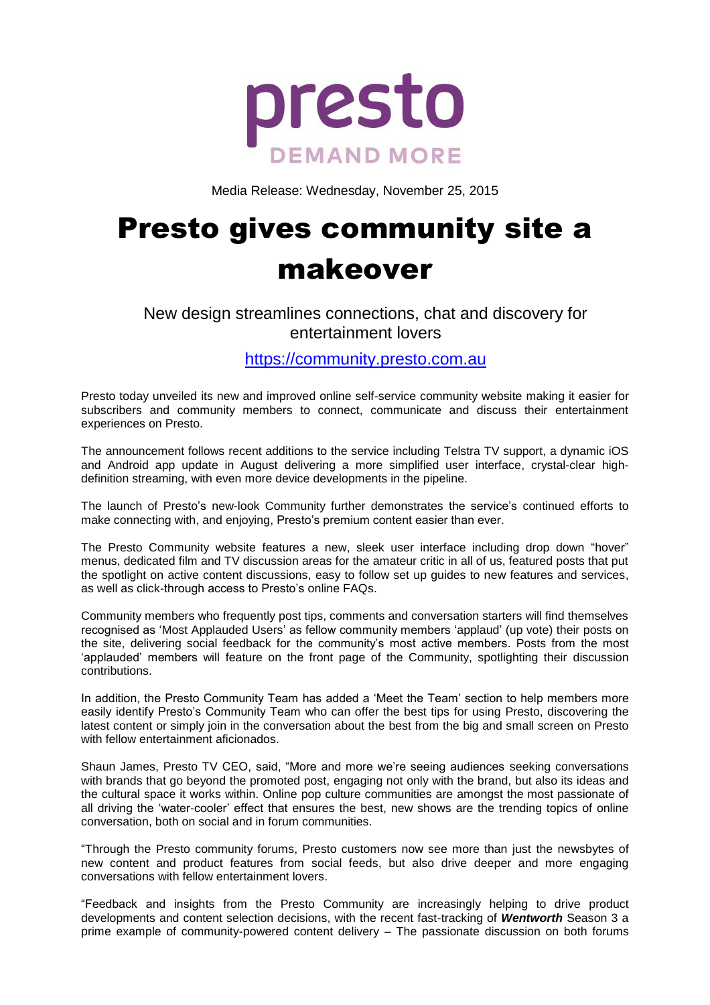

Media Release: Wednesday, November 25, 2015

# Presto gives community site a makeover

## New design streamlines connections, chat and discovery for entertainment lovers

[https://community.presto.com.au](https://community.presto.com.au/)

Presto today unveiled its new and improved online self-service community website making it easier for subscribers and community members to connect, communicate and discuss their entertainment experiences on Presto.

The announcement follows recent additions to the service including Telstra TV support, a dynamic iOS and Android app update in August delivering a more simplified user interface, crystal-clear highdefinition streaming, with even more device developments in the pipeline.

The launch of Presto's new-look Community further demonstrates the service's continued efforts to make connecting with, and enjoying, Presto's premium content easier than ever.

The Presto Community website features a new, sleek user interface including drop down "hover" menus, dedicated film and TV discussion areas for the amateur critic in all of us, featured posts that put the spotlight on active content discussions, easy to follow set up guides to new features and services, as well as click-through access to Presto's online FAQs.

Community members who frequently post tips, comments and conversation starters will find themselves recognised as 'Most Applauded Users' as fellow community members 'applaud' (up vote) their posts on the site, delivering social feedback for the community's most active members. Posts from the most 'applauded' members will feature on the front page of the Community, spotlighting their discussion contributions.

In addition, the Presto Community Team has added a 'Meet the Team' section to help members more easily identify Presto's Community Team who can offer the best tips for using Presto, discovering the latest content or simply join in the conversation about the best from the big and small screen on Presto with fellow entertainment aficionados.

Shaun James, Presto TV CEO, said, "More and more we're seeing audiences seeking conversations with brands that go beyond the promoted post, engaging not only with the brand, but also its ideas and the cultural space it works within. Online pop culture communities are amongst the most passionate of all driving the 'water-cooler' effect that ensures the best, new shows are the trending topics of online conversation, both on social and in forum communities.

"Through the Presto community forums, Presto customers now see more than just the newsbytes of new content and product features from social feeds, but also drive deeper and more engaging conversations with fellow entertainment lovers.

"Feedback and insights from the Presto Community are increasingly helping to drive product developments and content selection decisions, with the recent fast-tracking of *Wentworth* Season 3 a prime example of community-powered content delivery – The passionate discussion on both forums